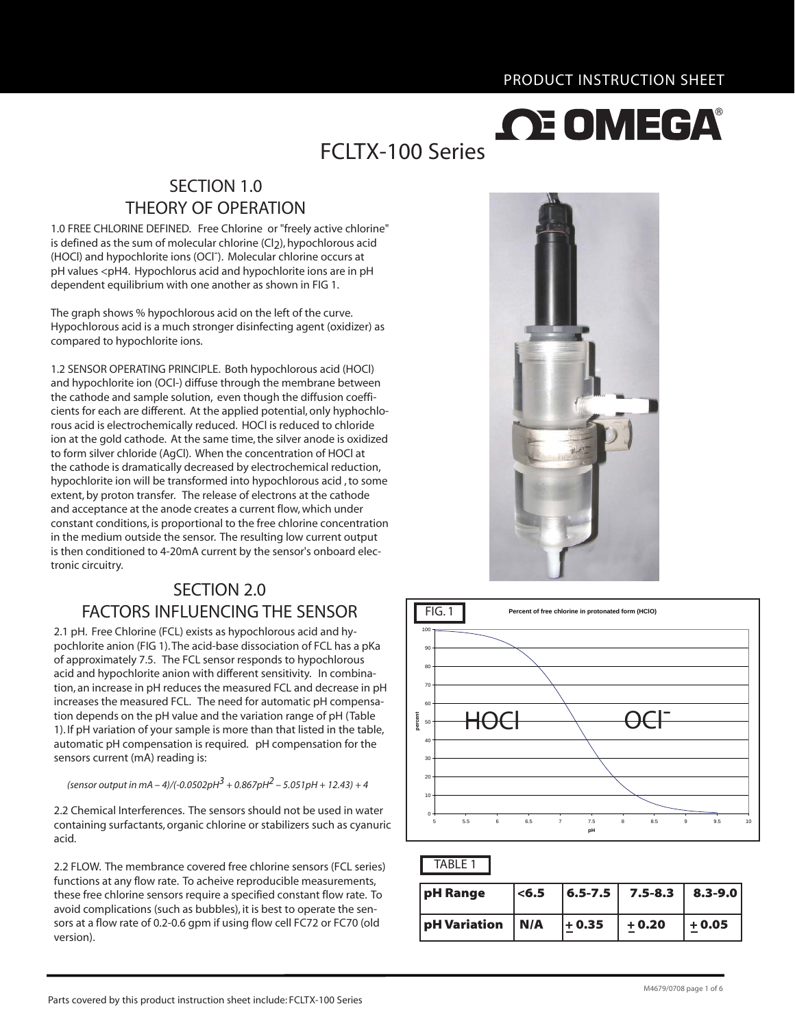# **OE OMEGA**

# FCLTX-100 Series

## SECTION 1.0 THEORY OF OPERATION

1.0 FREE CHLORINE DEFINED. Free Chlorine or "freely active chlorine" is defined as the sum of molecular chlorine (Cl<sub>2</sub>), hypochlorous acid (HOCl) and hypochlorite ions (OCl- ). Molecular chlorine occurs at pH values <pH4. Hypochlorus acid and hypochlorite ions are in pH dependent equilibrium with one another as shown in FIG 1.

The graph shows % hypochlorous acid on the left of the curve. Hypochlorous acid is a much stronger disinfecting agent (oxidizer) as compared to hypochlorite ions.

1.2 SENSOR OPERATING PRINCIPLE. Both hypochlorous acid (HOCl) and hypochlorite ion (OCl-) diffuse through the membrane between the cathode and sample solution, even though the diffusion coefficients for each are different. At the applied potential, only hyphochlorous acid is electrochemically reduced. HOCl is reduced to chloride ion at the gold cathode. At the same time, the silver anode is oxidized to form silver chloride (AgCl). When the concentration of HOCl at the cathode is dramatically decreased by electrochemical reduction, hypochlorite ion will be transformed into hypochlorous acid , to some extent, by proton transfer. The release of electrons at the cathode and acceptance at the anode creates a current flow, which under constant conditions, is proportional to the free chlorine concentration in the medium outside the sensor. The resulting low current output is then conditioned to 4-20mA current by the sensor's onboard electronic circuitry.

# SECTION 2.0 FACTORS INFLUENCING THE SENSOR

2.1 pH. Free Chlorine (FCL) exists as hypochlorous acid and hypochlorite anion (FIG 1). The acid-base dissociation of FCL has a pKa of approximately 7.5. The FCL sensor responds to hypochlorous acid and hypochlorite anion with different sensitivity. In combination, an increase in pH reduces the measured FCL and decrease in pH increases the measured FCL. The need for automatic pH compensation depends on the pH value and the variation range of pH (Table 1). If pH variation of your sample is more than that listed in the table, automatic pH compensation is required. pH compensation for the sensors current (mA) reading is:

 *(sensor output in mA – 4)/(-0.0502pH3 + 0.867pH2 – 5.051pH + 12.43) + 4*

2.2 Chemical Interferences. The sensors should not be used in water containing surfactants, organic chlorine or stabilizers such as cyanuric acid.

2.2 FLOW. The membrance covered free chlorine sensors (FCL series) functions at any flow rate. To acheive reproducible measurements, these free chlorine sensors require a specified constant flow rate. To avoid complications (such as bubbles), it is best to operate the sensors at a flow rate of 0.2-0.6 gpm if using flow cell FC72 or FC70 (old version).





#### TABLE 1

| <b>pH</b> Range                | $ <$ 6.5 | $\begin{array}{ c c c c c c c c c } \hline 6.5-7.5 & 7.5-8.3 & 8.3-9.0 \hline \end{array}$ |         |
|--------------------------------|----------|--------------------------------------------------------------------------------------------|---------|
| $ pH$ Variation $ N/A $ + 0.35 |          | $  + 0.20$                                                                                 | $+0.05$ |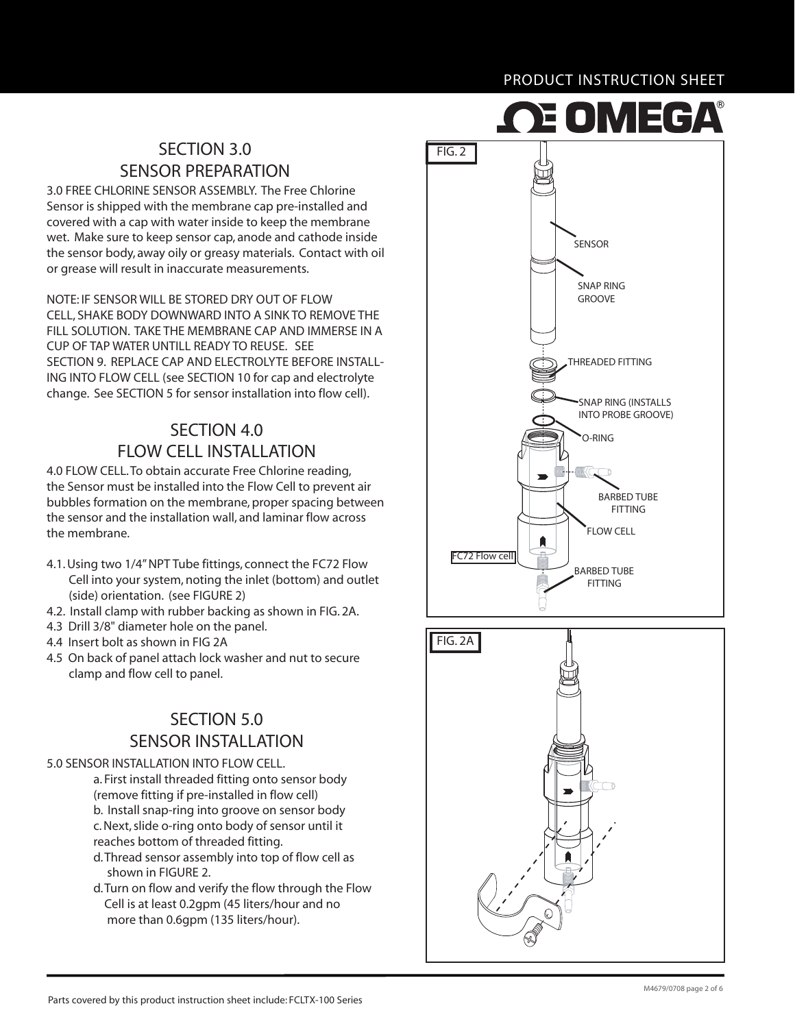# SECTION 3.0 SENSOR PREPARATION

3.0 FREE CHLORINE SENSOR ASSEMBLY. The Free Chlorine Sensor is shipped with the membrane cap pre-installed and covered with a cap with water inside to keep the membrane wet. Make sure to keep sensor cap, anode and cathode inside the sensor body, away oily or greasy materials. Contact with oil or grease will result in inaccurate measurements.

NOTE: IF SENSOR WILL BE STORED DRY OUT OF FLOW CELL, SHAKE BODY DOWNWARD INTO A SINK TO REMOVE THE FILL SOLUTION. TAKE THE MEMBRANE CAP AND IMMERSE IN A CUP OF TAP WATER UNTILL READY TO REUSE. SEE SECTION 9. REPLACE CAP AND ELECTROLYTE BEFORE INSTALL-ING INTO FLOW CELL (see SECTION 10 for cap and electrolyte change. See SECTION 5 for sensor installation into flow cell).

# SECTION 4.0 FLOW CELL INSTALLATION

4.0 FLOW CELL. To obtain accurate Free Chlorine reading, the Sensor must be installed into the Flow Cell to prevent air bubbles formation on the membrane, proper spacing between the sensor and the installation wall, and laminar flow across the membrane.

- 4.1. Using two 1/4" NPT Tube fittings, connect the FC72 Flow Cell into your system, noting the inlet (bottom) and outlet (side) orientation. (see FIGURE 2)
- 4.2. Install clamp with rubber backing as shown in FIG. 2A.
- 4.3 Drill 3/8" diameter hole on the panel.
- 4.4 Insert bolt as shown in FIG 2A
- 4.5 On back of panel attach lock washer and nut to secure clamp and flow cell to panel.

# SECTION 5.0 SENSOR INSTALLATION

#### 5.0 SENSOR INSTALLATION INTO FLOW CELL.

 a. First install threaded fitting onto sensor body (remove fitting if pre-installed in flow cell) b. Install snap-ring into groove on sensor body c. Next, slide o-ring onto body of sensor until it reaches bottom of threaded fitting.

- d. Thread sensor assembly into top of flow cell as shown in FIGURE 2.
- d. Turn on flow and verify the flow through the Flow Cell is at least 0.2gpm (45 liters/hour and no more than 0.6gpm (135 liters/hour).



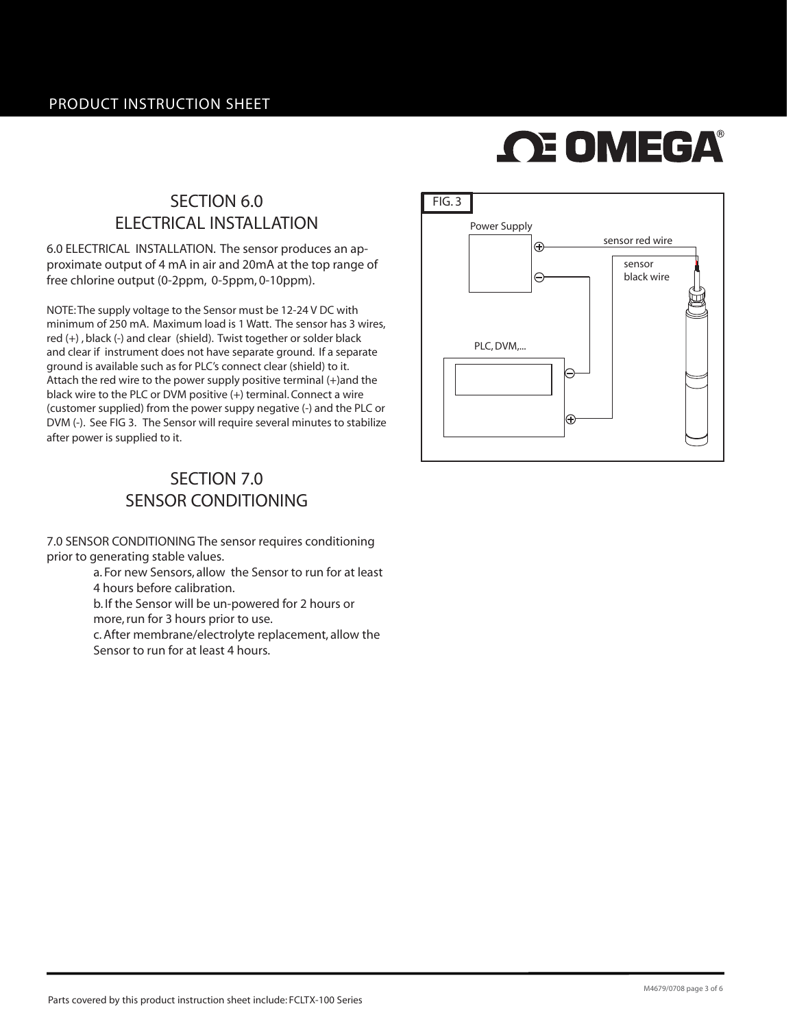# **OE OMEGA**

## SECTION 6.0 ELECTRICAL INSTALLATION

6.0 ELECTRICAL INSTALLATION. The sensor produces an approximate output of 4 mA in air and 20mA at the top range of free chlorine output (0-2ppm, 0-5ppm, 0-10ppm).

NOTE: The supply voltage to the Sensor must be 12-24 V DC with minimum of 250 mA. Maximum load is 1 Watt. The sensor has 3 wires, red (+) , black (-) and clear (shield). Twist together or solder black and clear if instrument does not have separate ground. If a separate ground is available such as for PLC's connect clear (shield) to it. Attach the red wire to the power supply positive terminal (+)and the black wire to the PLC or DVM positive (+) terminal. Connect a wire (customer supplied) from the power suppy negative (-) and the PLC or DVM (-). See FIG 3. The Sensor will require several minutes to stabilize after power is supplied to it.

## SECTION 7.0 SENSOR CONDITIONING

7.0 SENSOR CONDITIONING The sensor requires conditioning prior to generating stable values.

 a. For new Sensors, allow the Sensor to run for at least 4 hours before calibration.

b. If the Sensor will be un-powered for 2 hours or

more, run for 3 hours prior to use.

 c. After membrane/electrolyte replacement, allow the Sensor to run for at least 4 hours.

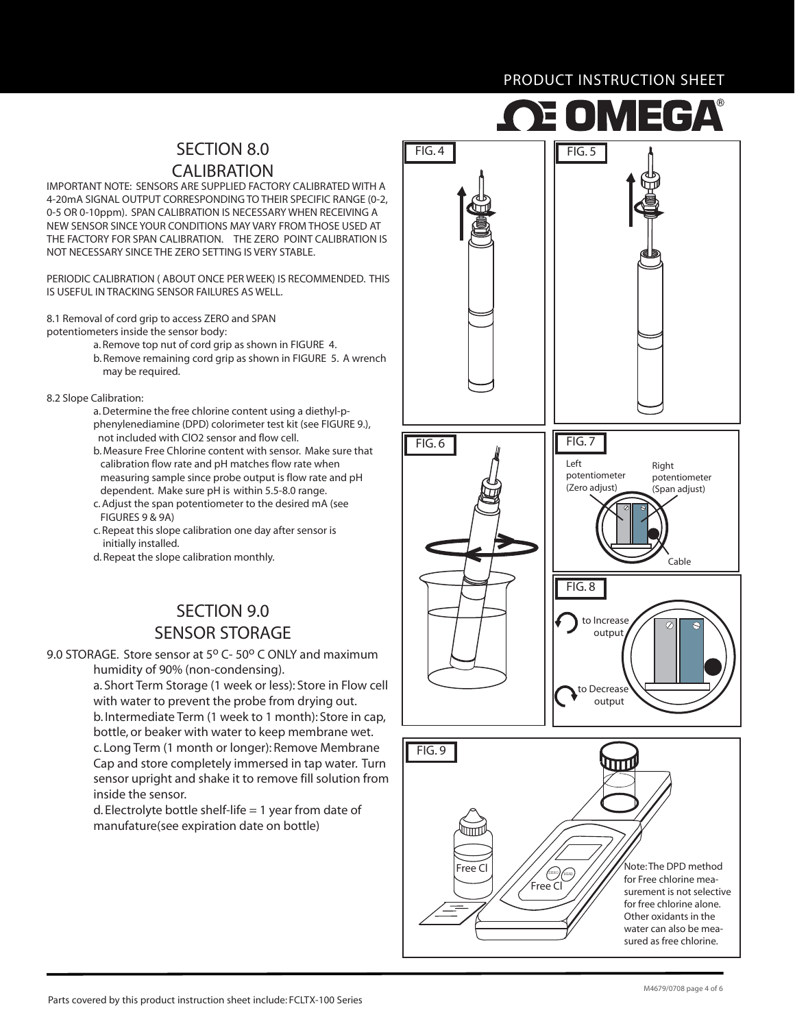# OE OMEGA

## SECTION 8.0 CALIBRATION

IMPORTANT NOTE: SENSORS ARE SUPPLIED FACTORY CALIBRATED WITH A 4-20mA SIGNAL OUTPUT CORRESPONDING TO THEIR SPECIFIC RANGE (0-2, 0-5 OR 0-10ppm). SPAN CALIBRATION IS NECESSARY WHEN RECEIVING A NEW SENSOR SINCE YOUR CONDITIONS MAY VARY FROM THOSE USED AT THE FACTORY FOR SPAN CALIBRATION. THE ZERO POINT CALIBRATION IS NOT NECESSARY SINCE THE ZERO SETTING IS VERY STABLE.

PERIODIC CALIBRATION ( ABOUT ONCE PER WEEK) IS RECOMMENDED. THIS IS USEFUL IN TRACKING SENSOR FAILURES AS WELL.

8.1 Removal of cord grip to access ZERO and SPAN

- potentiometers inside the sensor body:
	- a. Remove top nut of cord grip as shown in FIGURE 4. b. Remove remaining cord grip as shown in FIGURE 5. A wrench may be required.

8.2 Slope Calibration:

- a. Determine the free chlorine content using a diethyl-p phenylenediamine (DPD) colorimeter test kit (see FIGURE 9.), not included with ClO2 sensor and flow cell.
- b. Measure Free Chlorine content with sensor. Make sure that calibration flow rate and pH matches flow rate when measuring sample since probe output is flow rate and pH dependent. Make sure pH is within 5.5-8.0 range.
- c. Adjust the span potentiometer to the desired mA (see FIGURES 9 & 9A)
- c. Repeat this slope calibration one day after sensor is initially installed.
- d. Repeat the slope calibration monthly.

## SECTION 9.0 SENSOR STORAGE

9.0 STORAGE. Store sensor at 5° C- 50° C ONLY and maximum humidity of 90% (non-condensing).

 a. Short Term Storage (1 week or less): Store in Flow cell with water to prevent the probe from drying out. b. Intermediate Term (1 week to 1 month): Store in cap, bottle, or beaker with water to keep membrane wet. c. Long Term (1 month or longer): Remove Membrane Cap and store completely immersed in tap water. Turn sensor upright and shake it to remove fill solution from inside the sensor.

 d. Electrolyte bottle shelf-life = 1 year from date of manufature(see expiration date on bottle)



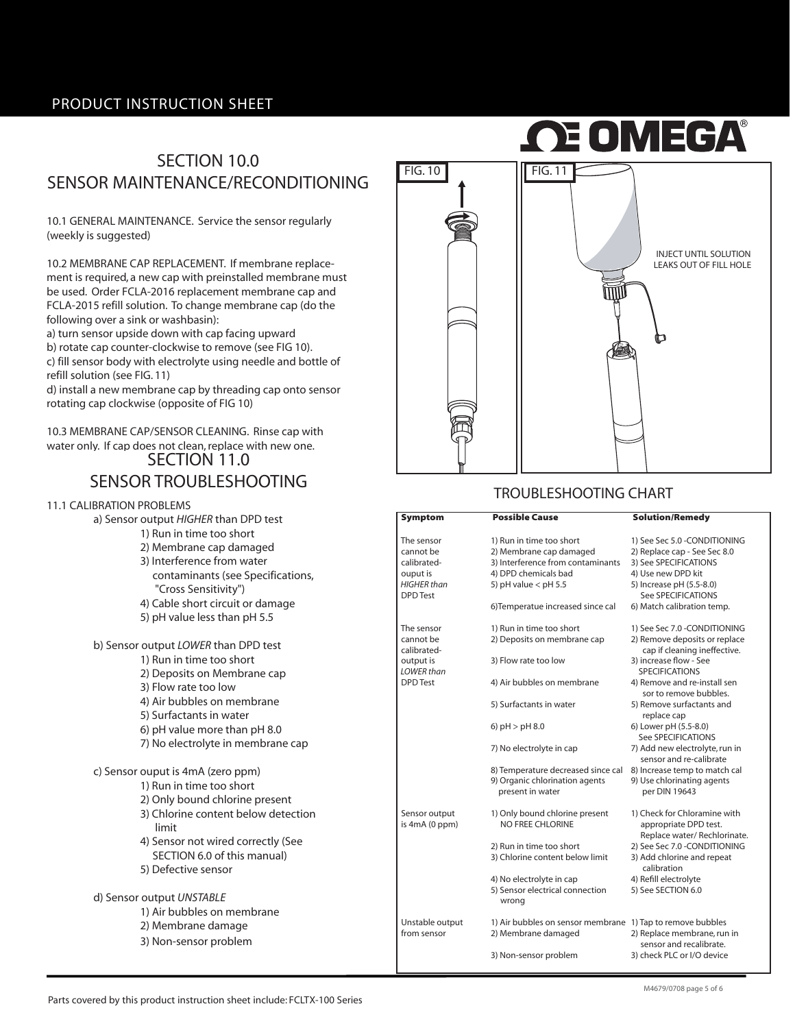## SECTION 10.0 SENSOR MAINTENANCE/RECONDITIONING

10.1 GENERAL MAINTENANCE. Service the sensor regularly (weekly is suggested)

10.2 MEMBRANE CAP REPLACEMENT. If membrane replacement is required, a new cap with preinstalled membrane must be used. Order FCLA-2016 replacement membrane cap and FCLA-2015 refill solution. To change membrane cap (do the following over a sink or washbasin):

a) turn sensor upside down with cap facing upward

b) rotate cap counter-clockwise to remove (see FIG 10).

c) fill sensor body with electrolyte using needle and bottle of refill solution (see FIG. 11)

d) install a new membrane cap by threading cap onto sensor rotating cap clockwise (opposite of FIG 10)

10.3 MEMBRANE CAP/SENSOR CLEANING. Rinse cap with water only. If cap does not clean, replace with new one. SECTION 11.0

## SENSOR TROUBLESHOOTING

#### 11.1 CALIBRATION PROBLEMS

a) Sensor output *HIGHER* than DPD test

- 1) Run in time too short
- 2) Membrane cap damaged
- 3) Interference from water contaminants (see Specifications, "Cross Sensitivity")
- 4) Cable short circuit or damage
- 5) pH value less than pH 5.5

#### b) Sensor output *LOWER* than DPD test

- 1) Run in time too short
- 2) Deposits on Membrane cap
	- 3) Flow rate too low
	- 4) Air bubbles on membrane
	- 5) Surfactants in water
	- 6) pH value more than pH 8.0
	- 7) No electrolyte in membrane cap

#### c) Sensor ouput is 4mA (zero ppm)

- 1) Run in time too short
	- 2) Only bound chlorine present
	- 3) Chlorine content below detection limit
	- 4) Sensor not wired correctly (See SECTION 6.0 of this manual)
	- 5) Defective sensor

#### d) Sensor output *UNSTABLE*

- 1) Air bubbles on membrane
- 2) Membrane damage
	- 3) Non-sensor problem



## TROUBLESHOOTING CHART

| <b>Symptom</b>                                                                              | <b>Possible Cause</b>                                                                                                                      | <b>Solution/Remedy</b>                                                                                                                                         |
|---------------------------------------------------------------------------------------------|--------------------------------------------------------------------------------------------------------------------------------------------|----------------------------------------------------------------------------------------------------------------------------------------------------------------|
| The sensor<br>cannot be<br>calibrated-<br>ouput is<br><b>HIGHER than</b><br><b>DPD</b> Test | 1) Run in time too short<br>2) Membrane cap damaged<br>3) Interference from contaminants<br>4) DPD chemicals bad<br>5) pH value < pH $5.5$ | 1) See Sec 5.0 - CONDITIONING<br>2) Replace cap - See Sec 8.0<br>3) See SPECIFICATIONS<br>4) Use new DPD kit<br>5) Increase pH (5.5-8.0)<br>See SPECIFICATIONS |
|                                                                                             | 6) Temperatue increased since cal                                                                                                          | 6) Match calibration temp.                                                                                                                                     |
| The sensor<br>cannot be<br>calibrated-                                                      | 1) Run in time too short<br>2) Deposits on membrane cap                                                                                    | 1) See Sec 7.0 - CONDITIONING<br>2) Remove deposits or replace<br>cap if cleaning ineffective.                                                                 |
| output is<br>LOWER than                                                                     | 3) Flow rate too low                                                                                                                       | 3) increase flow - See<br><b>SPECIFICATIONS</b>                                                                                                                |
| <b>DPD</b> Test                                                                             | 4) Air bubbles on membrane                                                                                                                 | 4) Remove and re-install sen<br>sor to remove bubbles.                                                                                                         |
|                                                                                             | 5) Surfactants in water                                                                                                                    | 5) Remove surfactants and<br>replace cap                                                                                                                       |
|                                                                                             | 6) $pH > pH 8.0$                                                                                                                           | 6) Lower pH (5.5-8.0)<br>See SPECIFICATIONS                                                                                                                    |
|                                                                                             | 7) No electrolyte in cap                                                                                                                   | 7) Add new electrolyte, run in<br>sensor and re-calibrate                                                                                                      |
|                                                                                             | 8) Temperature decreased since cal<br>9) Organic chlorination agents<br>present in water                                                   | 8) Increase temp to match cal<br>9) Use chlorinating agents<br>per DIN 19643                                                                                   |
| Sensor output<br>is 4mA (0 ppm)                                                             | 1) Only bound chlorine present<br>NO FREE CHLORINE                                                                                         | 1) Check for Chloramine with<br>appropriate DPD test.<br>Replace water/ Rechlorinate.                                                                          |
|                                                                                             | 2) Run in time too short<br>3) Chlorine content below limit                                                                                | 2) See Sec 7.0 -CONDITIONING<br>3) Add chlorine and repeat<br>calibration                                                                                      |
|                                                                                             | 4) No electrolyte in cap<br>5) Sensor electrical connection<br>wrong                                                                       | 4) Refill electrolyte<br>5) See SECTION 6.0                                                                                                                    |
| Unstable output<br>from sensor                                                              | 1) Air bubbles on sensor membrane 1) Tap to remove bubbles<br>2) Membrane damaged                                                          | 2) Replace membrane, run in<br>sensor and recalibrate.                                                                                                         |
|                                                                                             | 3) Non-sensor problem                                                                                                                      | 3) check PLC or I/O device                                                                                                                                     |